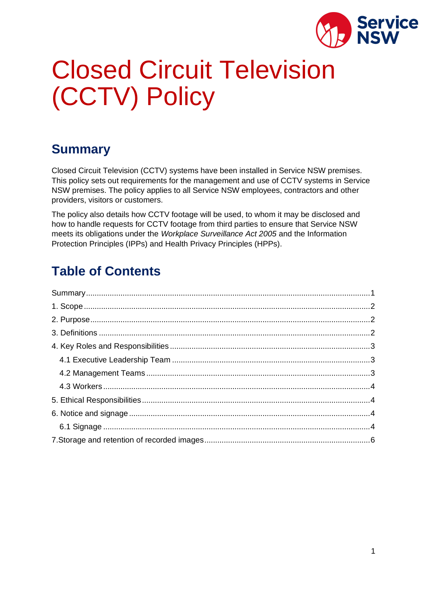

# Closed Circuit Television (CCTV) Policy

### <span id="page-0-0"></span>**Summary**

Closed Circuit Television (CCTV) systems have been installed in Service NSW premises. This policy sets out requirements for the management and use of CCTV systems in Service NSW premises. The policy applies to all Service NSW employees, contractors and other providers, visitors or customers.

The policy also details how CCTV footage will be used, to whom it may be disclosed and how to handle requests for CCTV footage from third parties to ensure that Service NSW meets its obligations under the *Workplace Surveillance Act 2005* and the Information Protection Principles (IPPs) and Health Privacy Principles (HPPs).

## **Table of Contents**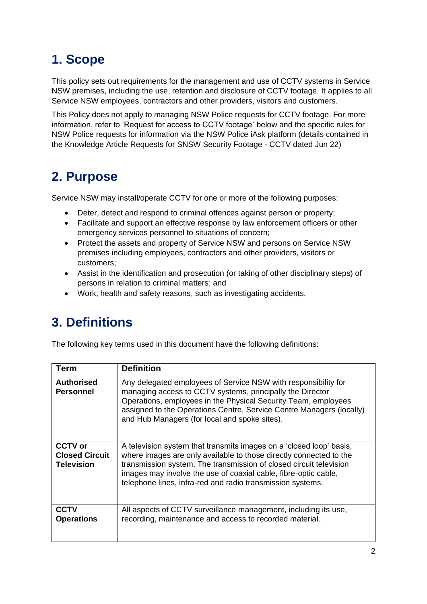# <span id="page-1-0"></span>**1. Scope**

This policy sets out requirements for the management and use of CCTV systems in Service NSW premises, including the use, retention and disclosure of CCTV footage. It applies to all Service NSW employees, contractors and other providers, visitors and customers.

This Policy does not apply to managing NSW Police requests for CCTV footage. For more information, refer to 'Request for access to CCTV footage' below and the specific rules for NSW Police requests for information via the NSW Police iAsk platform (details contained in the Knowledge Article Requests for SNSW Security Footage - CCTV dated Jun 22)

## <span id="page-1-1"></span>**2. Purpose**

Service NSW may install/operate CCTV for one or more of the following purposes:

- Deter, detect and respond to criminal offences against person or property;
- Facilitate and support an effective response by law enforcement officers or other emergency services personnel to situations of concern;
- Protect the assets and property of Service NSW and persons on Service NSW premises including employees, contractors and other providers, visitors or customers;
- Assist in the identification and prosecution (or taking of other disciplinary steps) of persons in relation to criminal matters; and
- Work, health and safety reasons, such as investigating accidents.

### <span id="page-1-2"></span>**3. Definitions**

The following key terms used in this document have the following definitions:

| Term                                                         | <b>Definition</b>                                                                                                                                                                                                                                                                                                                                |
|--------------------------------------------------------------|--------------------------------------------------------------------------------------------------------------------------------------------------------------------------------------------------------------------------------------------------------------------------------------------------------------------------------------------------|
| <b>Authorised</b><br>Personnel                               | Any delegated employees of Service NSW with responsibility for<br>managing access to CCTV systems, principally the Director<br>Operations, employees in the Physical Security Team, employees<br>assigned to the Operations Centre, Service Centre Managers (locally)<br>and Hub Managers (for local and spoke sites).                           |
| <b>CCTV</b> or<br><b>Closed Circuit</b><br><b>Television</b> | A television system that transmits images on a 'closed loop' basis,<br>where images are only available to those directly connected to the<br>transmission system. The transmission of closed circuit television<br>images may involve the use of coaxial cable, fibre-optic cable,<br>telephone lines, infra-red and radio transmission systems. |
| <b>CCTV</b><br><b>Operations</b>                             | All aspects of CCTV surveillance management, including its use,<br>recording, maintenance and access to recorded material.                                                                                                                                                                                                                       |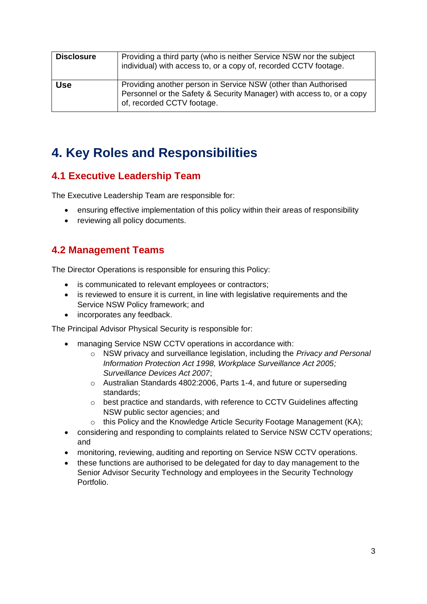| <b>Disclosure</b> | Providing a third party (who is neither Service NSW nor the subject<br>individual) with access to, or a copy of, recorded CCTV footage.                               |
|-------------------|-----------------------------------------------------------------------------------------------------------------------------------------------------------------------|
| <b>Use</b>        | Providing another person in Service NSW (other than Authorised<br>Personnel or the Safety & Security Manager) with access to, or a copy<br>of, recorded CCTV footage. |

#### <span id="page-2-0"></span>**4. Key Roles and Responsibilities**

#### <span id="page-2-1"></span>**4.1 Executive Leadership Team**

The Executive Leadership Team are responsible for:

- ensuring effective implementation of this policy within their areas of responsibility
- reviewing all policy documents.

#### <span id="page-2-2"></span>**4.2 Management Teams**

The Director Operations is responsible for ensuring this Policy:

- is communicated to relevant employees or contractors;
- is reviewed to ensure it is current, in line with legislative requirements and the Service NSW Policy framework; and
- incorporates any feedback.

The Principal Advisor Physical Security is responsible for:

- managing Service NSW CCTV operations in accordance with:
	- o NSW privacy and surveillance legislation, including the *Privacy and Personal Information Protection Act 1998, Workplace Surveillance Act 2005; Surveillance Devices Act 2007*;
	- o Australian Standards 4802:2006, Parts 1-4, and future or superseding standards;
	- o best practice and standards, with reference to CCTV Guidelines affecting NSW public sector agencies; and
	- $\circ$  this Policy and the Knowledge Article Security Footage Management (KA);
- considering and responding to complaints related to Service NSW CCTV operations; and
- monitoring, reviewing, auditing and reporting on Service NSW CCTV operations.
- these functions are authorised to be delegated for day to day management to the Senior Advisor Security Technology and employees in the Security Technology Portfolio.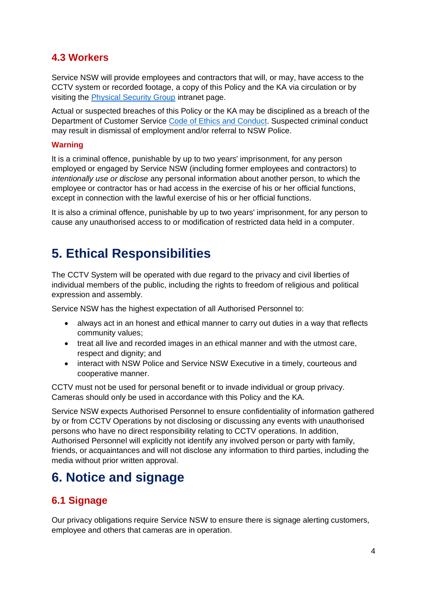#### <span id="page-3-0"></span>**4.3 Workers**

Service NSW will provide employees and contractors that will, or may, have access to the CCTV system or recorded footage, a copy of this Policy and the KA via circulation or by visiting the [Physical Security Group](mailto:https://intranet.service.nsw.gov.au/service-nsw-physical-security-group#team) intranet page.

Actual or suspected breaches of this Policy or the KA may be disciplined as a breach of the Department of Customer Service [Code of Ethics and Conduct.](https://intranet.customerservice.nsw.gov.au/resource-centre/policies/employee-hq/conduct-and-behaviour/code_of_ethics_and_conduct.pdf) Suspected criminal conduct may result in dismissal of employment and/or referral to NSW Police.

#### **Warning**

It is a criminal offence, punishable by up to two years' imprisonment, for any person employed or engaged by Service NSW (including former employees and contractors) to *intentionally use or disclose* any personal information about another person, to which the employee or contractor has or had access in the exercise of his or her official functions, except in connection with the lawful exercise of his or her official functions.

It is also a criminal offence, punishable by up to two years' imprisonment, for any person to cause any unauthorised access to or modification of restricted data held in a computer.

### <span id="page-3-1"></span>**5. Ethical Responsibilities**

The CCTV System will be operated with due regard to the privacy and civil liberties of individual members of the public, including the rights to freedom of religious and political expression and assembly.

Service NSW has the highest expectation of all Authorised Personnel to:

- always act in an honest and ethical manner to carry out duties in a way that reflects community values;
- treat all live and recorded images in an ethical manner and with the utmost care, respect and dignity; and
- interact with NSW Police and Service NSW Executive in a timely, courteous and cooperative manner.

CCTV must not be used for personal benefit or to invade individual or group privacy. Cameras should only be used in accordance with this Policy and the KA.

Service NSW expects Authorised Personnel to ensure confidentiality of information gathered by or from CCTV Operations by not disclosing or discussing any events with unauthorised persons who have no direct responsibility relating to CCTV operations. In addition, Authorised Personnel will explicitly not identify any involved person or party with family, friends, or acquaintances and will not disclose any information to third parties, including the media without prior written approval.

### <span id="page-3-2"></span>**6. Notice and signage**

#### <span id="page-3-3"></span>**6.1 Signage**

Our privacy obligations require Service NSW to ensure there is signage alerting customers, employee and others that cameras are in operation.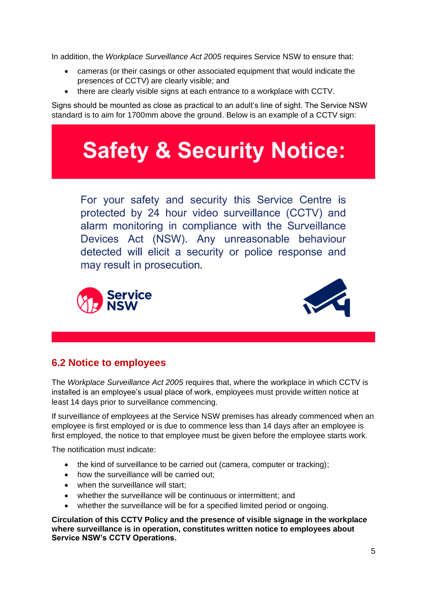In addition, the *Workplace Surveillance Act 2005* requires Service NSW to ensure that:

- cameras (or their casings or other associated equipment that would indicate the presences of CCTV) are clearly visible; and
- there are clearly visible signs at each entrance to a workplace with CCTV.

Signs should be mounted as close as practical to an adult's line of sight. The Service NSW standard is to aim for 1700mm above the ground. Below is an example of a CCTV sign:

# **Safety & Security Notice:**

For your safety and security this Service Centre is protected by 24 hour video surveillance (CCTV) and alarm monitoring in compliance with the Surveillance Devices Act (NSW). Any unreasonable behaviour detected will elicit a security or police response and may result in prosecution.





#### **6.2 Notice to employees**

The *Workplace Surveillance Act 2005* requires that, where the workplace in which CCTV is installed is an employee's usual place of work, employees must provide written notice at least 14 days prior to surveillance commencing.

If surveillance of employees at the Service NSW premises has already commenced when an employee is first employed or is due to commence less than 14 days after an employee is first employed, the notice to that employee must be given before the employee starts work.

The notification must indicate:

- the kind of surveillance to be carried out (camera, computer or tracking);
- how the surveillance will be carried out;
- when the surveillance will start:
- whether the surveillance will be continuous or intermittent; and
- whether the surveillance will be for a specified limited period or ongoing.

**Circulation of this CCTV Policy and the presence of visible signage in the workplace where surveillance is in operation, constitutes written notice to employees about Service NSW's CCTV Operations.**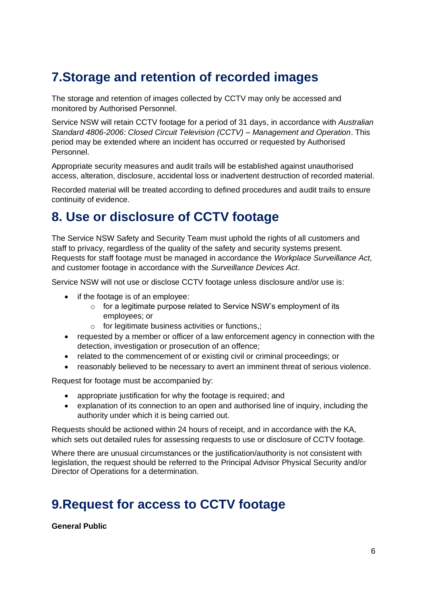### <span id="page-5-0"></span>**7.Storage and retention of recorded images**

The storage and retention of images collected by CCTV may only be accessed and monitored by Authorised Personnel.

Service NSW will retain CCTV footage for a period of 31 days, in accordance with *Australian Standard 4806-2006: Closed Circuit Television (CCTV) – Management and Operation*. This period may be extended where an incident has occurred or requested by Authorised Personnel.

Appropriate security measures and audit trails will be established against unauthorised access, alteration, disclosure, accidental loss or inadvertent destruction of recorded material.

Recorded material will be treated according to defined procedures and audit trails to ensure continuity of evidence.

#### **8. Use or disclosure of CCTV footage**

The Service NSW Safety and Security Team must uphold the rights of all customers and staff to privacy, regardless of the quality of the safety and security systems present. Requests for staff footage must be managed in accordance the *Workplace Surveillance Act,*  and customer footage in accordance with the *Surveillance Devices Act*.

Service NSW will not use or disclose CCTV footage unless disclosure and/or use is:

- if the footage is of an employee:
	- o for a legitimate purpose related to Service NSW's employment of its employees; or
	- o for legitimate business activities or functions,;
- requested by a member or officer of a law enforcement agency in connection with the detection, investigation or prosecution of an offence;
- related to the commencement of or existing civil or criminal proceedings; or
- reasonably believed to be necessary to avert an imminent threat of serious violence.

Request for footage must be accompanied by:

- appropriate justification for why the footage is required; and
- explanation of its connection to an open and authorised line of inquiry, including the authority under which it is being carried out.

Requests should be actioned within 24 hours of receipt, and in accordance with the KA, which sets out detailed rules for assessing requests to use or disclosure of CCTV footage.

Where there are unusual circumstances or the justification/authority is not consistent with legislation, the request should be referred to the Principal Advisor Physical Security and/or Director of Operations for a determination.

### **9.Request for access to CCTV footage**

**General Public**